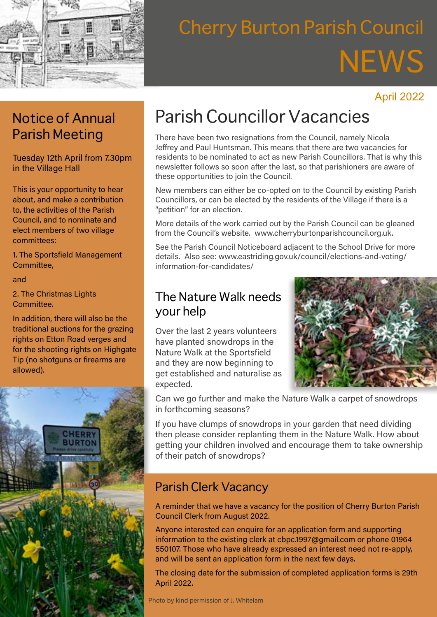

# Cherry Burton Parish Council **NEWS**

#### April 2022

#### Notice of Annual Parish Meeting

Tuesday 12th April from 7.30pm in the Village Hall

This is your opportunity to hear about, and make a contribution to, the activities of the Parish Council, and to nominate and elect members of two village committees:

1. The Sportsfield Management Committee,

and

2. The Christmas Lights Committee.

In addition, there will also be the traditional auctions for the grazing rights on Etton Road verges and for the shooting rights on Highgate Tip (no shotguns or firearms are allowed).



## Parish Councillor Vacancies

There have been two resignations from the Council, namely Nicola Jeffrey and Paul Huntsman. This means that there are two vacancies for residents to be nominated to act as new Parish Councillors. That is why this newsletter follows so soon after the last, so that parishioners are aware of these opportunities to join the Council.

New members can either be co-opted on to the Council by existing Parish Councillors, or can be elected by the residents of the Village if there is a "petition" for an election.

More details of the work carried out by the Parish Council can be gleaned from the Council's website. www.cherryburtonparishcouncil.org.uk.

See the Parish Council Noticeboard adjacent to the School Drive for more details. Also see: www.eastriding.gov.uk/council/elections-and-voting/ information-for-candidates/

#### The Nature Walk needs your help

Over the last 2 years volunteers have planted snowdrops in the Nature Walk at the Sportsfield and they are now beginning to get established and naturalise as expected.



Can we go further and make the Nature Walk a carpet of snowdrops in forthcoming seasons?

If you have clumps of snowdrops in your garden that need dividing then please consider replanting them in the Nature Walk. How about getting your children involved and encourage them to take ownership of their patch of snowdrops?

#### Parish Clerk Vacancy

A reminder that we have a vacancy for the position of Cherry Burton Parish Council Clerk from August 2022.

Anyone interested can enquire for an application form and supporting information to the existing clerk at cbpc.1997@gmail.com or phone 01964 550107. Those who have already expressed an interest need not re-apply, and will be sent an application form in the next few days.

The closing date for the submission of completed application forms is 29th April 2022.

Photo by kind permission of J. Whitelam